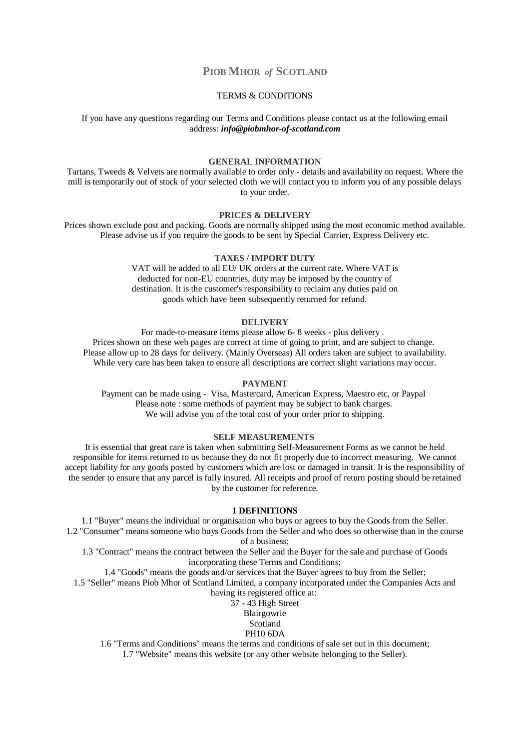# **PIOB MHOR** *of* **SCOTLAND**

## TERMS & CONDITIONS

If you have any questions regarding our Terms and Conditions please contact us at the following email address: *info@piobmhor-of-scotland.com*

## **GENERAL INFORMATION**

Tartans, Tweeds & Velvets are normally available to order only - details and availability on request. Where the mill is temporarily out of stock of your selected cloth we will contact you to inform you of any possible delays to your order.

### **PRICES & DELIVERY**

Prices shown exclude post and packing. Goods are normally shipped using the most economic method available. Please advise us if you require the goods to be sent by Special Carrier, Express Delivery etc.

## **TAXES / IMPORT DUTY**

VAT will be added to all EU/ UK orders at the current rate. Where VAT is deducted for non-EU countries, duty may be imposed by the country of destination. It is the customer's responsibility to reclaim any duties paid on goods which have been subsequently returned for refund.

#### **DELIVERY**

For made-to-measure items please allow 6- 8 weeks - plus delivery . Prices shown on these web pages are correct at time of going to print, and are subject to change. Please allow up to 28 days for delivery. (Mainly Overseas) All orders taken are subject to availability. While very care has been taken to ensure all descriptions are correct slight variations may occur.

## **PAYMENT**

Payment can be made using - Visa, Mastercard, American Express, Maestro etc, or Paypal Please note : some methods of payment may be subject to bank charges. We will advise you of the total cost of your order prior to shipping.

### **SELF MEASUREMENTS**

It is essential that great care is taken when submitting Self-Measurement Forms as we cannot be held responsible for items returned to us because they do not fit properly due to incorrect measuring. We cannot accept liability for any goods posted by customers which are lost or damaged in transit. It is the responsibility of the sender to ensure that any parcel is fully insured. All receipts and proof of return posting should be retained by the customer for reference.

## **1 DEFINITIONS**

1.1 "Buyer" means the individual or organisation who buys or agrees to buy the Goods from the Seller. 1.2 "Consumer" means someone who buys Goods from the Seller and who does so otherwise than in the course of a business;

1.3 "Contract" means the contract between the Seller and the Buyer for the sale and purchase of Goods incorporating these Terms and Conditions;

1.4 "Goods" means the goods and/or services that the Buyer agrees to buy from the Seller; 1.5 "Seller" means Piob Mhor of Scotland Limited, a company incorporated under the Companies Acts and

having its registered office at:

37 - 43 High Street **Blairgowrie** 

Scotland

PH10 6DA

1.6 "Terms and Conditions" means the terms and conditions of sale set out in this document;

1.7 "Website" means this website (or any other website belonging to the Seller).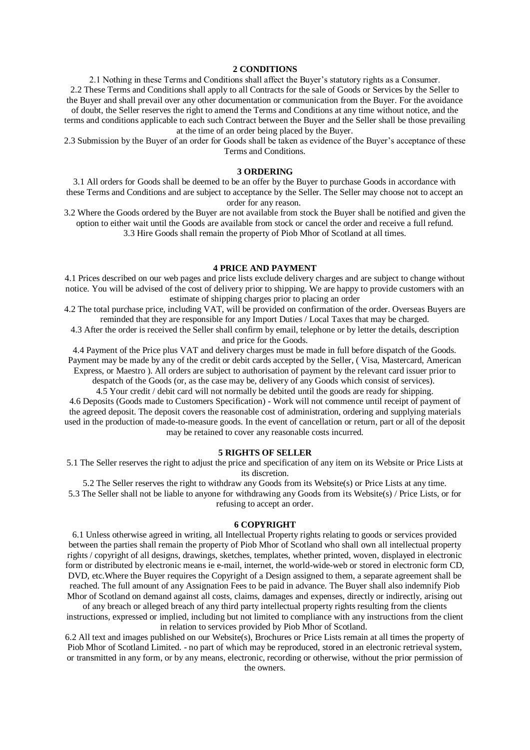#### **2 CONDITIONS**

2.1 Nothing in these Terms and Conditions shall affect the Buyer's statutory rights as a Consumer. 2.2 These Terms and Conditions shall apply to all Contracts for the sale of Goods or Services by the Seller to the Buyer and shall prevail over any other documentation or communication from the Buyer. For the avoidance of doubt, the Seller reserves the right to amend the Terms and Conditions at any time without notice, and the

terms and conditions applicable to each such Contract between the Buyer and the Seller shall be those prevailing at the time of an order being placed by the Buyer.

2.3 Submission by the Buyer of an order for Goods shall be taken as evidence of the Buyer's acceptance of these Terms and Conditions.

### **3 ORDERING**

3.1 All orders for Goods shall be deemed to be an offer by the Buyer to purchase Goods in accordance with these Terms and Conditions and are subject to acceptance by the Seller. The Seller may choose not to accept an order for any reason.

3.2 Where the Goods ordered by the Buyer are not available from stock the Buyer shall be notified and given the option to either wait until the Goods are available from stock or cancel the order and receive a full refund. 3.3 Hire Goods shall remain the property of Piob Mhor of Scotland at all times.

### **4 PRICE AND PAYMENT**

4.1 Prices described on our web pages and price lists exclude delivery charges and are subject to change without notice. You will be advised of the cost of delivery prior to shipping. We are happy to provide customers with an estimate of shipping charges prior to placing an order

4.2 The total purchase price, including VAT, will be provided on confirmation of the order. Overseas Buyers are reminded that they are responsible for any Import Duties / Local Taxes that may be charged.

4.3 After the order is received the Seller shall confirm by email, telephone or by letter the details, description and price for the Goods.

4.4 Payment of the Price plus VAT and delivery charges must be made in full before dispatch of the Goods. Payment may be made by any of the credit or debit cards accepted by the Seller, ( Visa, Mastercard, American Express, or Maestro ). All orders are subject to authorisation of payment by the relevant card issuer prior to

despatch of the Goods (or, as the case may be, delivery of any Goods which consist of services).

4.5 Your credit / debit card will not normally be debited until the goods are ready for shipping. 4.6 Deposits (Goods made to Customers Specification) - Work will not commence until receipt of payment of the agreed deposit. The deposit covers the reasonable cost of administration, ordering and supplying materials used in the production of made-to-measure goods. In the event of cancellation or return, part or all of the deposit may be retained to cover any reasonable costs incurred.

### **5 RIGHTS OF SELLER**

5.1 The Seller reserves the right to adjust the price and specification of any item on its Website or Price Lists at its discretion.

5.2 The Seller reserves the right to withdraw any Goods from its Website(s) or Price Lists at any time. 5.3 The Seller shall not be liable to anyone for withdrawing any Goods from its Website(s) / Price Lists, or for refusing to accept an order.

#### **6 COPYRIGHT**

6.1 Unless otherwise agreed in writing, all Intellectual Property rights relating to goods or services provided between the parties shall remain the property of Piob Mhor of Scotland who shall own all intellectual property rights / copyright of all designs, drawings, sketches, templates, whether printed, woven, displayed in electronic form or distributed by electronic means ie e-mail, internet, the world-wide-web or stored in electronic form CD, DVD, etc.Where the Buyer requires the Copyright of a Design assigned to them, a separate agreement shall be reached. The full amount of any Assignation Fees to be paid in advance. The Buyer shall also indemnify Piob Mhor of Scotland on demand against all costs, claims, damages and expenses, directly or indirectly, arising out

of any breach or alleged breach of any third party intellectual property rights resulting from the clients instructions, expressed or implied, including but not limited to compliance with any instructions from the client in relation to services provided by Piob Mhor of Scotland.

6.2 All text and images published on our Website(s), Brochures or Price Lists remain at all times the property of Piob Mhor of Scotland Limited. - no part of which may be reproduced, stored in an electronic retrieval system, or transmitted in any form, or by any means, electronic, recording or otherwise, without the prior permission of the owners.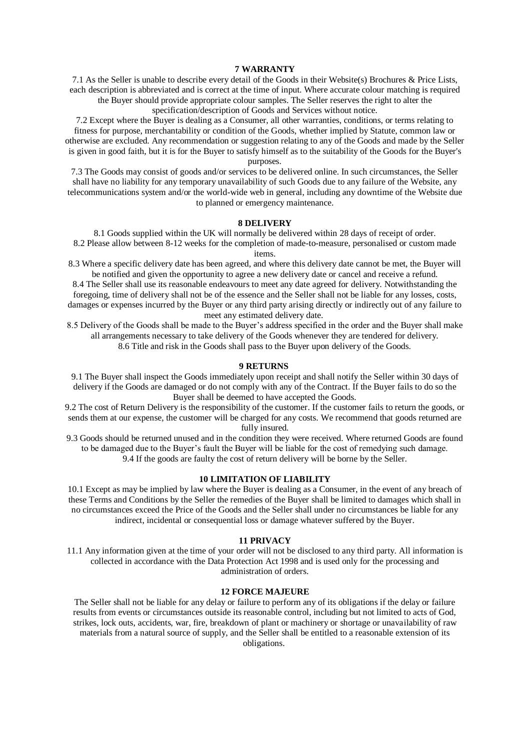### **7 WARRANTY**

7.1 As the Seller is unable to describe every detail of the Goods in their Website(s) Brochures & Price Lists, each description is abbreviated and is correct at the time of input. Where accurate colour matching is required the Buyer should provide appropriate colour samples. The Seller reserves the right to alter the specification/description of Goods and Services without notice.

7.2 Except where the Buyer is dealing as a Consumer, all other warranties, conditions, or terms relating to fitness for purpose, merchantability or condition of the Goods, whether implied by Statute, common law or otherwise are excluded. Any recommendation or suggestion relating to any of the Goods and made by the Seller is given in good faith, but it is for the Buyer to satisfy himself as to the suitability of the Goods for the Buyer's purposes.

7.3 The Goods may consist of goods and/or services to be delivered online. In such circumstances, the Seller shall have no liability for any temporary unavailability of such Goods due to any failure of the Website, any telecommunications system and/or the world-wide web in general, including any downtime of the Website due to planned or emergency maintenance.

## **8 DELIVERY**

8.1 Goods supplied within the UK will normally be delivered within 28 days of receipt of order. 8.2 Please allow between 8-12 weeks for the completion of made-to-measure, personalised or custom made items.

8.3 Where a specific delivery date has been agreed, and where this delivery date cannot be met, the Buyer will be notified and given the opportunity to agree a new delivery date or cancel and receive a refund.

8.4 The Seller shall use its reasonable endeavours to meet any date agreed for delivery. Notwithstanding the foregoing, time of delivery shall not be of the essence and the Seller shall not be liable for any losses, costs, damages or expenses incurred by the Buyer or any third party arising directly or indirectly out of any failure to meet any estimated delivery date.

8.5 Delivery of the Goods shall be made to the Buyer's address specified in the order and the Buyer shall make all arrangements necessary to take delivery of the Goods whenever they are tendered for delivery. 8.6 Title and risk in the Goods shall pass to the Buyer upon delivery of the Goods.

### **9 RETURNS**

9.1 The Buyer shall inspect the Goods immediately upon receipt and shall notify the Seller within 30 days of delivery if the Goods are damaged or do not comply with any of the Contract. If the Buyer fails to do so the Buyer shall be deemed to have accepted the Goods.

9.2 The cost of Return Delivery is the responsibility of the customer. If the customer fails to return the goods, or sends them at our expense, the customer will be charged for any costs. We recommend that goods returned are fully insured.

9.3 Goods should be returned unused and in the condition they were received. Where returned Goods are found to be damaged due to the Buyer's fault the Buyer will be liable for the cost of remedying such damage. 9.4 If the goods are faulty the cost of return delivery will be borne by the Seller.

# **10 LIMITATION OF LIABILITY**

10.1 Except as may be implied by law where the Buyer is dealing as a Consumer, in the event of any breach of these Terms and Conditions by the Seller the remedies of the Buyer shall be limited to damages which shall in no circumstances exceed the Price of the Goods and the Seller shall under no circumstances be liable for any indirect, incidental or consequential loss or damage whatever suffered by the Buyer.

## **11 PRIVACY**

11.1 Any information given at the time of your order will not be disclosed to any third party. All information is collected in accordance with the Data Protection Act 1998 and is used only for the processing and administration of orders.

### **12 FORCE MAJEURE**

The Seller shall not be liable for any delay or failure to perform any of its obligations if the delay or failure results from events or circumstances outside its reasonable control, including but not limited to acts of God, strikes, lock outs, accidents, war, fire, breakdown of plant or machinery or shortage or unavailability of raw materials from a natural source of supply, and the Seller shall be entitled to a reasonable extension of its obligations.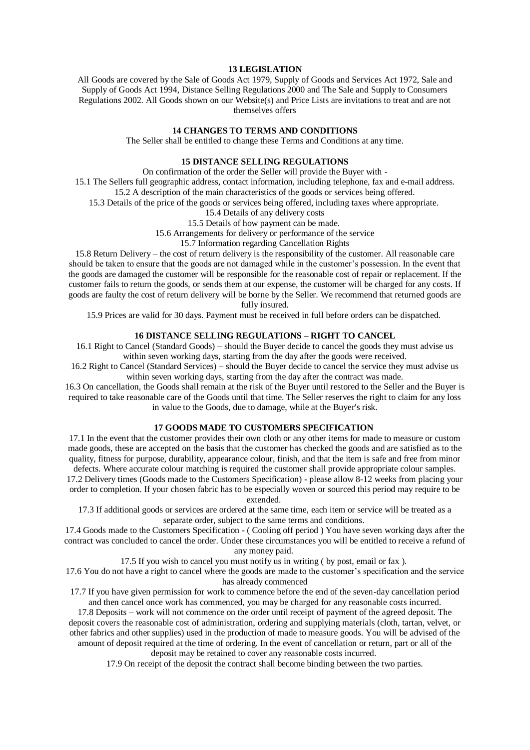### **13 LEGISLATION**

All Goods are covered by the Sale of Goods Act 1979, Supply of Goods and Services Act 1972, Sale and Supply of Goods Act 1994, Distance Selling Regulations 2000 and The Sale and Supply to Consumers Regulations 2002. All Goods shown on our Website(s) and Price Lists are invitations to treat and are not themselves offers

## **14 CHANGES TO TERMS AND CONDITIONS**

The Seller shall be entitled to change these Terms and Conditions at any time.

## **15 DISTANCE SELLING REGULATIONS**

On confirmation of the order the Seller will provide the Buyer with -

15.1 The Sellers full geographic address, contact information, including telephone, fax and e-mail address.

15.2 A description of the main characteristics of the goods or services being offered.

15.3 Details of the price of the goods or services being offered, including taxes where appropriate.

15.4 Details of any delivery costs

15.5 Details of how payment can be made.

15.6 Arrangements for delivery or performance of the service

15.7 Information regarding Cancellation Rights

15.8 Return Delivery – the cost of return delivery is the responsibility of the customer. All reasonable care should be taken to ensure that the goods are not damaged while in the customer's possession. In the event that the goods are damaged the customer will be responsible for the reasonable cost of repair or replacement. If the customer fails to return the goods, or sends them at our expense, the customer will be charged for any costs. If goods are faulty the cost of return delivery will be borne by the Seller. We recommend that returned goods are fully insured.

15.9 Prices are valid for 30 days. Payment must be received in full before orders can be dispatched.

# **16 DISTANCE SELLING REGULATIONS – RIGHT TO CANCEL**

16.1 Right to Cancel (Standard Goods) – should the Buyer decide to cancel the goods they must advise us within seven working days, starting from the day after the goods were received.

16.2 Right to Cancel (Standard Services) – should the Buyer decide to cancel the service they must advise us within seven working days, starting from the day after the contract was made.

16.3 On cancellation, the Goods shall remain at the risk of the Buyer until restored to the Seller and the Buyer is required to take reasonable care of the Goods until that time. The Seller reserves the right to claim for any loss in value to the Goods, due to damage, while at the Buyer's risk.

## **17 GOODS MADE TO CUSTOMERS SPECIFICATION**

17.1 In the event that the customer provides their own cloth or any other items for made to measure or custom made goods, these are accepted on the basis that the customer has checked the goods and are satisfied as to the quality, fitness for purpose, durability, appearance colour, finish, and that the item is safe and free from minor defects. Where accurate colour matching is required the customer shall provide appropriate colour samples.

17.2 Delivery times (Goods made to the Customers Specification) - please allow 8-12 weeks from placing your order to completion. If your chosen fabric has to be especially woven or sourced this period may require to be extended.

17.3 If additional goods or services are ordered at the same time, each item or service will be treated as a separate order, subject to the same terms and conditions.

17.4 Goods made to the Customers Specification - ( Cooling off period ) You have seven working days after the contract was concluded to cancel the order. Under these circumstances you will be entitled to receive a refund of any money paid.

17.5 If you wish to cancel you must notify us in writing ( by post, email or fax ).

17.6 You do not have a right to cancel where the goods are made to the customer's specification and the service has already commenced

17.7 If you have given permission for work to commence before the end of the seven-day cancellation period and then cancel once work has commenced, you may be charged for any reasonable costs incurred.

17.8 Deposits – work will not commence on the order until receipt of payment of the agreed deposit. The deposit covers the reasonable cost of administration, ordering and supplying materials (cloth, tartan, velvet, or other fabrics and other supplies) used in the production of made to measure goods. You will be advised of the amount of deposit required at the time of ordering. In the event of cancellation or return, part or all of the

deposit may be retained to cover any reasonable costs incurred.

17.9 On receipt of the deposit the contract shall become binding between the two parties.